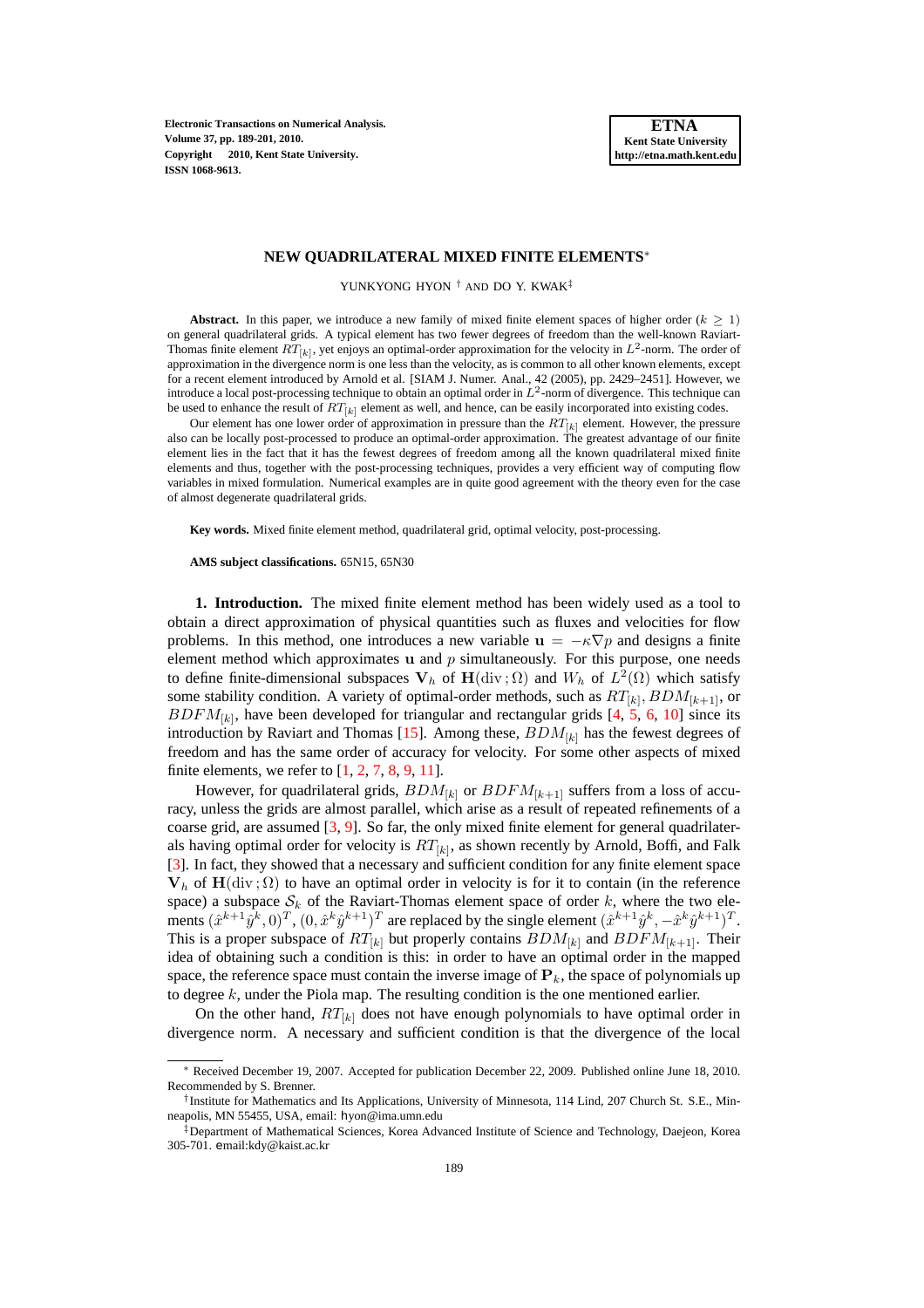**Electronic Transactions on Numerical Analysis. Volume 37, pp. 189-201, 2010. Copyright 2010, Kent State University. ISSN 1068-9613.**

#### **NEW QUADRILATERAL MIXED FINITE ELEMENTS**<sup>∗</sup>

YUNKYONG HYON † AND DO Y. KWAK‡

**Abstract.** In this paper, we introduce a new family of mixed finite element spaces of higher order  $(k \geq 1)$ on general quadrilateral grids. A typical element has two fewer degrees of freedom than the well-known Raviart-Thomas finite element  $RT_{[k]}$ , yet enjoys an optimal-order approximation for the velocity in  $L^2$ -norm. The order of approximation in the divergence norm is one less than the velocity, as is common to all other known elements, except for a recent element introduced by Arnold et al. [SIAM J. Numer. Anal., 42 (2005), pp. 2429–2451]. However, we introduce a local post-processing technique to obtain an optimal order in  $L^2$ -norm of divergence. This technique can be used to enhance the result of  $RT_{[k]}$  element as well, and hence, can be easily incorporated into existing codes.

Our element has one lower order of approximation in pressure than the  $RT_{[k]}$  element. However, the pressure also can be locally post-processed to produce an optimal-order approximation. The greatest advantage of our finite element lies in the fact that it has the fewest degrees of freedom among all the known quadrilateral mixed finite elements and thus, together with the post-processing techniques, provides a very efficient way of computing flow variables in mixed formulation. Numerical examples are in quite good agreement with the theory even for the case of almost degenerate quadrilateral grids.

**Key words.** Mixed finite element method, quadrilateral grid, optimal velocity, post-processing.

#### **AMS subject classifications.** 65N15, 65N30

**1. Introduction.** The mixed finite element method has been widely used as a tool to obtain a direct approximation of physical quantities such as fluxes and velocities for flow problems. In this method, one introduces a new variable  $\mathbf{u} = -\kappa \nabla p$  and designs a finite element method which approximates  $\bf{u}$  and  $\bf{p}$  simultaneously. For this purpose, one needs to define finite-dimensional subspaces  $V_h$  of  $H(\text{div}\,;\Omega)$  and  $W_h$  of  $L^2(\Omega)$  which satisfy some stability condition. A variety of optimal-order methods, such as  $RT_{[k]}$ ,  $BDM_{[k+1]}$ , or  $BDFM_{[k]}$ , have been developed for triangular and rectangular grids [\[4,](#page-12-0) [5,](#page-12-1) [6,](#page-12-2) [10\]](#page-12-3) since its introduction by Raviart and Thomas [\[15\]](#page-12-4). Among these,  $BDM_{[k]}$  has the fewest degrees of freedom and has the same order of accuracy for velocity. For some other aspects of mixed finite elements, we refer to  $[1, 2, 7, 8, 9, 11]$  $[1, 2, 7, 8, 9, 11]$  $[1, 2, 7, 8, 9, 11]$  $[1, 2, 7, 8, 9, 11]$  $[1, 2, 7, 8, 9, 11]$  $[1, 2, 7, 8, 9, 11]$  $[1, 2, 7, 8, 9, 11]$  $[1, 2, 7, 8, 9, 11]$  $[1, 2, 7, 8, 9, 11]$  $[1, 2, 7, 8, 9, 11]$ .

However, for quadrilateral grids,  $BDM_{[k]}$  or  $BDFM_{[k+1]}$  suffers from a loss of accuracy, unless the grids are almost parallel, which arise as a result of repeated refinements of a coarse grid, are assumed  $[3, 9]$  $[3, 9]$ . So far, the only mixed finite element for general quadrilaterals having optimal order for velocity is  $RT_{[k]}$ , as shown recently by Arnold, Boffi, and Falk [\[3\]](#page-12-11). In fact, they showed that a necessary and sufficient condition for any finite element space  $V_h$  of  $H(\text{div};\Omega)$  to have an optimal order in velocity is for it to contain (in the reference space) a subspace  $S_k$  of the Raviart-Thomas element space of order k, where the two elements  $(\hat{x}^{k+1}\hat{y}^k, 0)^T$ ,  $(0, \hat{x}^k\hat{y}^{k+1})^T$  are replaced by the single element  $(\hat{x}^{k+1}\hat{y}^k, -\hat{x}^k\hat{y}^{k+1})^T$ . This is a proper subspace of  $RT_{[k]}$  but properly contains  $BDM_{[k]}$  and  $BDFM_{[k+1]}$ . Their idea of obtaining such a condition is this: in order to have an optimal order in the mapped space, the reference space must contain the inverse image of  $P_k$ , the space of polynomials up to degree k, under the Piola map. The resulting condition is the one mentioned earlier.

On the other hand,  $RT_{[k]}$  does not have enough polynomials to have optimal order in divergence norm. A necessary and sufficient condition is that the divergence of the local

<sup>∗</sup> Received December 19, 2007. Accepted for publication December 22, 2009. Published online June 18, 2010. Recommended by S. Brenner.

<sup>†</sup> Institute for Mathematics and Its Applications, University of Minnesota, 114 Lind, 207 Church St. S.E., Minneapolis, MN 55455, USA, email: hyon@ima.umn.edu

<sup>‡</sup>Department of Mathematical Sciences, Korea Advanced Institute of Science and Technology, Daejeon, Korea 305-701. email:kdy@kaist.ac.kr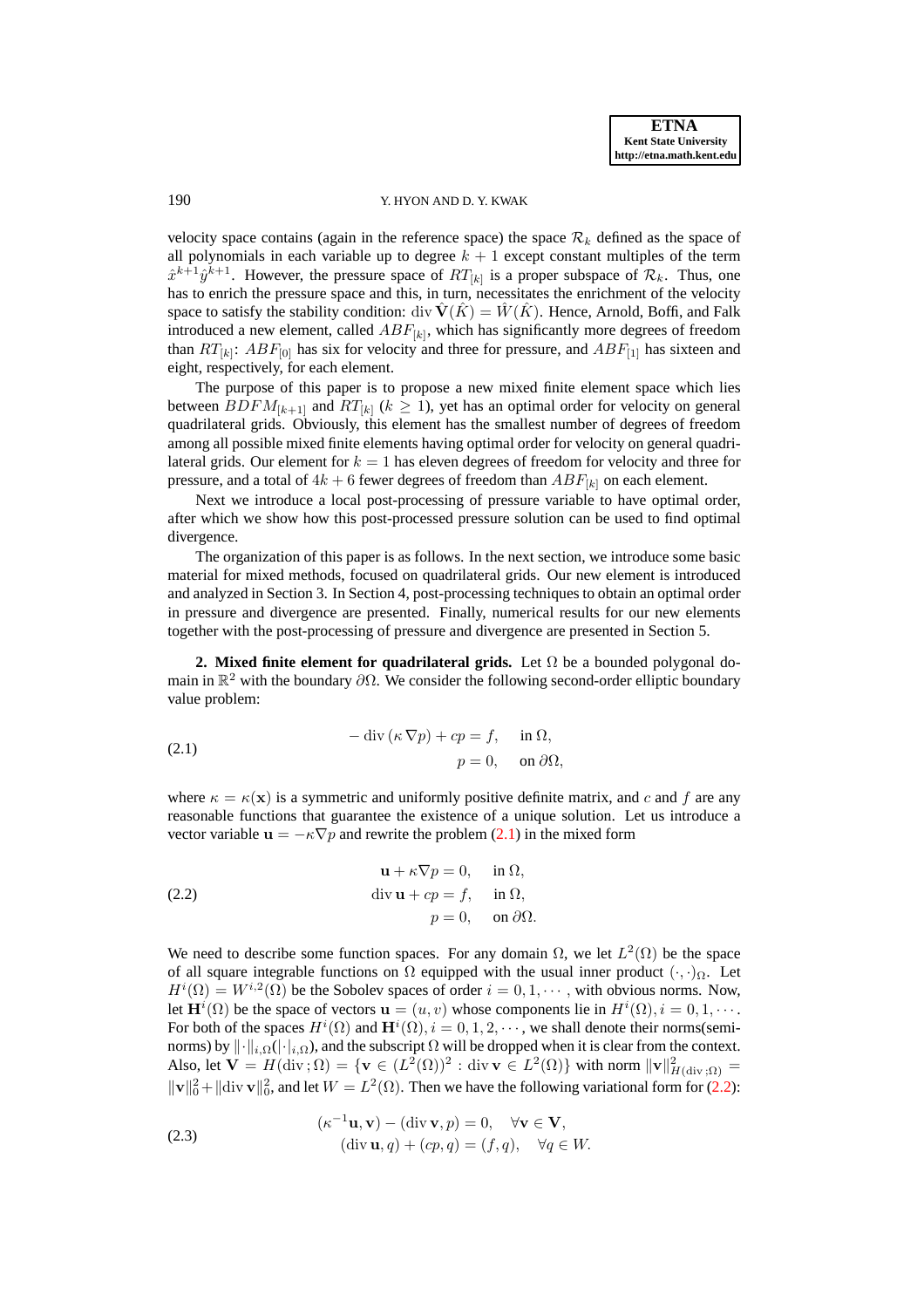## 190 Y. HYON AND D. Y. KWAK

velocity space contains (again in the reference space) the space  $\mathcal{R}_k$  defined as the space of all polynomials in each variable up to degree  $k + 1$  except constant multiples of the term  $\hat{x}^{k+1}\hat{y}^{k+1}$ . However, the pressure space of  $RT_{[k]}$  is a proper subspace of  $\mathcal{R}_k$ . Thus, one has to enrich the pressure space and this, in turn, necessitates the enrichment of the velocity space to satisfy the stability condition: div  $\mathbf{\hat{V}}(\hat{K}) = \mathbf{\hat{W}}(\hat{K})$ . Hence, Arnold, Boffi, and Falk introduced a new element, called  $ABF_{[k]}$ , which has significantly more degrees of freedom than  $RT_{[k]}$ :  $ABF_{[0]}$  has six for velocity and three for pressure, and  $ABF_{[1]}$  has sixteen and eight, respectively, for each element.

The purpose of this paper is to propose a new mixed finite element space which lies between  $BDFM_{[k+1]}$  and  $RT_{[k]}$  ( $k \geq 1$ ), yet has an optimal order for velocity on general quadrilateral grids. Obviously, this element has the smallest number of degrees of freedom among all possible mixed finite elements having optimal order for velocity on general quadrilateral grids. Our element for  $k = 1$  has eleven degrees of freedom for velocity and three for pressure, and a total of  $4k + 6$  fewer degrees of freedom than  $ABF_{[k]}$  on each element.

Next we introduce a local post-processing of pressure variable to have optimal order, after which we show how this post-processed pressure solution can be used to find optimal divergence.

The organization of this paper is as follows. In the next section, we introduce some basic material for mixed methods, focused on quadrilateral grids. Our new element is introduced and analyzed in Section 3. In Section 4, post-processing techniques to obtain an optimal order in pressure and divergence are presented. Finally, numerical results for our new elements together with the post-processing of pressure and divergence are presented in Section 5.

**2. Mixed finite element for quadrilateral grids.** Let  $\Omega$  be a bounded polygonal domain in  $\mathbb{R}^2$  with the boundary  $\partial\Omega$ . We consider the following second-order elliptic boundary value problem:

<span id="page-1-0"></span>(2.1) 
$$
-\operatorname{div}(\kappa \nabla p) + cp = f, \quad \text{in } \Omega, p = 0, \quad \text{on } \partial \Omega,
$$

where  $\kappa = \kappa(\mathbf{x})$  is a symmetric and uniformly positive definite matrix, and c and f are any reasonable functions that guarantee the existence of a unique solution. Let us introduce a vector variable  $\mathbf{u} = -\kappa \nabla p$  and rewrite the problem [\(2.1\)](#page-1-0) in the mixed form

<span id="page-1-1"></span>(2.2) 
$$
\mathbf{u} + \kappa \nabla p = 0, \text{ in } \Omega,
$$

$$
\text{div } \mathbf{u} + cp = f, \text{ in } \Omega,
$$

$$
p = 0, \text{ on } \partial \Omega.
$$

We need to describe some function spaces. For any domain  $\Omega$ , we let  $L^2(\Omega)$  be the space of all square integrable functions on  $\Omega$  equipped with the usual inner product  $(\cdot, \cdot)_{\Omega}$ . Let  $H^{i}(\Omega) = W^{i,2}(\Omega)$  be the Sobolev spaces of order  $i = 0, 1, \dots$ , with obvious norms. Now, let  $\mathbf{H}^{i}(\Omega)$  be the space of vectors  $\mathbf{u} = (u, v)$  whose components lie in  $H^{i}(\Omega), i = 0, 1, \cdots$ . For both of the spaces  $H^i(\Omega)$  and  $\mathbf{H}^i(\Omega)$ ,  $i = 0, 1, 2, \cdots$ , we shall denote their norms(seminorms) by  $\|\cdot\|_{i,\Omega}(\|\cdot\|_{i,\Omega})$ , and the subscript  $\Omega$  will be dropped when it is clear from the context. Also, let  $\mathbf{V} = H(\text{div}; \Omega) = {\mathbf{v} \in (L^2(\Omega))^2 : \text{div } \mathbf{v} \in L^2(\Omega)}$  with norm  $\|\mathbf{v}\|_{H(\text{div}; \Omega)}^2 =$  $\|\mathbf{v}\|_0^2 + \|\text{div } \mathbf{v}\|_0^2$ , and let  $W = L^2(\Omega)$ . Then we have the following variational form for [\(2.2\)](#page-1-1):

<span id="page-1-2"></span>(2.3) 
$$
(\kappa^{-1} \mathbf{u}, \mathbf{v}) - (\text{div } \mathbf{v}, p) = 0, \quad \forall \mathbf{v} \in \mathbf{V},
$$

$$
(\text{div } \mathbf{u}, q) + (cp, q) = (f, q), \quad \forall q \in W.
$$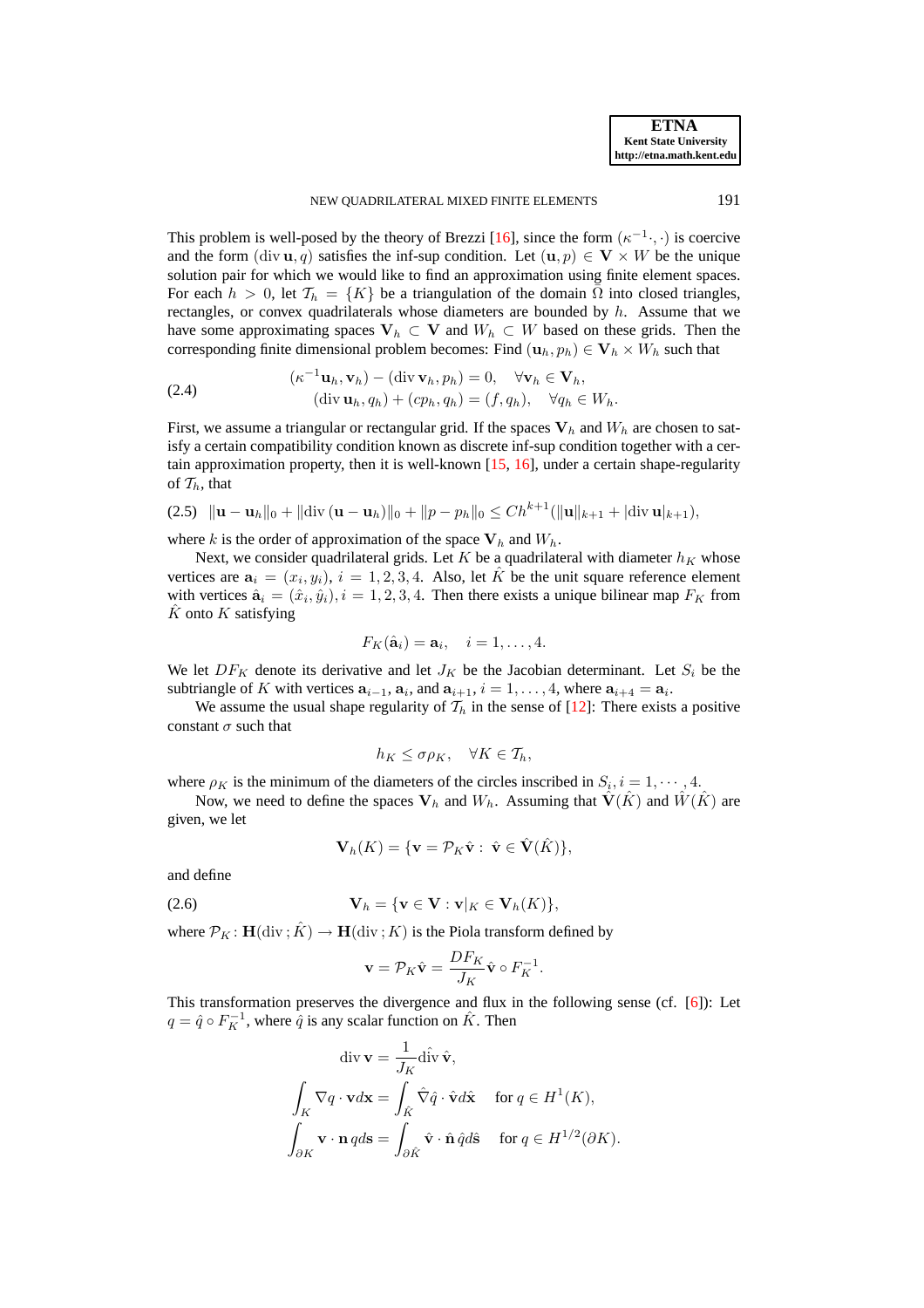This problem is well-posed by the theory of Brezzi [\[16\]](#page-12-12), since the form  $(\kappa^{-1} \cdot, \cdot)$  is coercive and the form  $(\text{div } \mathbf{u}, q)$  satisfies the inf-sup condition. Let  $(\mathbf{u}, p) \in \mathbf{V} \times W$  be the unique solution pair for which we would like to find an approximation using finite element spaces. For each  $h > 0$ , let  $\mathcal{T}_h = \{K\}$  be a triangulation of the domain  $\overline{\Omega}$  into closed triangles, rectangles, or convex quadrilaterals whose diameters are bounded by  $h$ . Assume that we have some approximating spaces  $V_h \subset V$  and  $W_h \subset W$  based on these grids. Then the corresponding finite dimensional problem becomes: Find  $(\mathbf{u}_h, p_h) \in \mathbf{V}_h \times W_h$  such that

<span id="page-2-2"></span>(2.4) 
$$
(\kappa^{-1} \mathbf{u}_h, \mathbf{v}_h) - (\text{div } \mathbf{v}_h, p_h) = 0, \quad \forall \mathbf{v}_h \in \mathbf{V}_h, (\text{div } \mathbf{u}_h, q_h) + (cp_h, q_h) = (f, q_h), \quad \forall q_h \in W_h.
$$

First, we assume a triangular or rectangular grid. If the spaces  $V_h$  and  $W_h$  are chosen to satisfy a certain compatibility condition known as discrete inf-sup condition together with a certain approximation property, then it is well-known [\[15,](#page-12-4) [16\]](#page-12-12), under a certain shape-regularity of  $\mathcal{T}_h$ , that

<span id="page-2-0"></span>
$$
(2.5) \|\mathbf{u}-\mathbf{u}_h\|_0 + \|\text{div}(\mathbf{u}-\mathbf{u}_h)\|_0 + \|p-p_h\|_0 \le Ch^{k+1}(\|\mathbf{u}\|_{k+1} + |\text{div}\,\mathbf{u}|_{k+1}),
$$

where k is the order of approximation of the space  $V_h$  and  $W_h$ .

Next, we consider quadrilateral grids. Let K be a quadrilateral with diameter  $h_K$  whose vertices are  $a_i = (x_i, y_i)$ ,  $i = 1, 2, 3, 4$ . Also, let  $\hat{K}$  be the unit square reference element with vertices  $\hat{\mathbf{a}}_i = (\hat{x}_i, \hat{y}_i), i = 1, 2, 3, 4$ . Then there exists a unique bilinear map  $F_K$  from  $\hat{K}$  onto  $\hat{K}$  satisfying

$$
F_K(\hat{\mathbf{a}}_i) = \mathbf{a}_i, \quad i = 1, \dots, 4.
$$

We let  $DF_K$  denote its derivative and let  $J_K$  be the Jacobian determinant. Let  $S_i$  be the subtriangle of K with vertices  $a_{i-1}$ ,  $a_i$ , and  $a_{i+1}$ ,  $i = 1, ..., 4$ , where  $a_{i+4} = a_i$ .

We assume the usual shape regularity of  $\mathcal{T}_h$  in the sense of [\[12\]](#page-12-13): There exists a positive constant  $\sigma$  such that

$$
h_K \leq \sigma \rho_K, \quad \forall K \in \mathcal{T}_h,
$$

where  $\rho_K$  is the minimum of the diameters of the circles inscribed in  $S_i$ ,  $i = 1, \dots, 4$ .

Now, we need to define the spaces  $V_h$  and  $W_h$ . Assuming that  $\hat{V}(K)$  and  $\hat{W}(K)$  are given, we let

$$
\mathbf{V}_h(K) = \{ \mathbf{v} = \mathcal{P}_K \hat{\mathbf{v}} : \ \hat{\mathbf{v}} \in \hat{\mathbf{V}}(\hat{K}) \},
$$

and define

$$
\mathbf{V}_h = \{\mathbf{v} \in \mathbf{V} : \mathbf{v}|_K \in \mathbf{V}_h(K)\},\
$$

where  $\mathcal{P}_K : H(\text{div}; \hat{K}) \to H(\text{div}; K)$  is the Piola transform defined by

<span id="page-2-1"></span>
$$
\mathbf{v} = \mathcal{P}_K \hat{\mathbf{v}} = \frac{DF_K}{J_K} \hat{\mathbf{v}} \circ F_K^{-1}.
$$

This transformation preserves the divergence and flux in the following sense (cf. [\[6\]](#page-12-2)): Let  $q = \hat{q} \circ F_K^{-1}$ , where  $\hat{q}$  is any scalar function on  $\hat{K}$ . Then

$$
\operatorname{div} \mathbf{v} = \frac{1}{J_K} \operatorname{div} \hat{\mathbf{v}},
$$

$$
\int_K \nabla q \cdot \mathbf{v} d\mathbf{x} = \int_{\hat{K}} \hat{\nabla} \hat{q} \cdot \hat{\mathbf{v}} d\hat{\mathbf{x}} \quad \text{for } q \in H^1(K),
$$

$$
\int_{\partial K} \mathbf{v} \cdot \mathbf{n} \, q d\mathbf{s} = \int_{\partial \hat{K}} \hat{\mathbf{v}} \cdot \hat{\mathbf{n}} \, \hat{q} d\hat{\mathbf{s}} \quad \text{for } q \in H^{1/2}(\partial K).
$$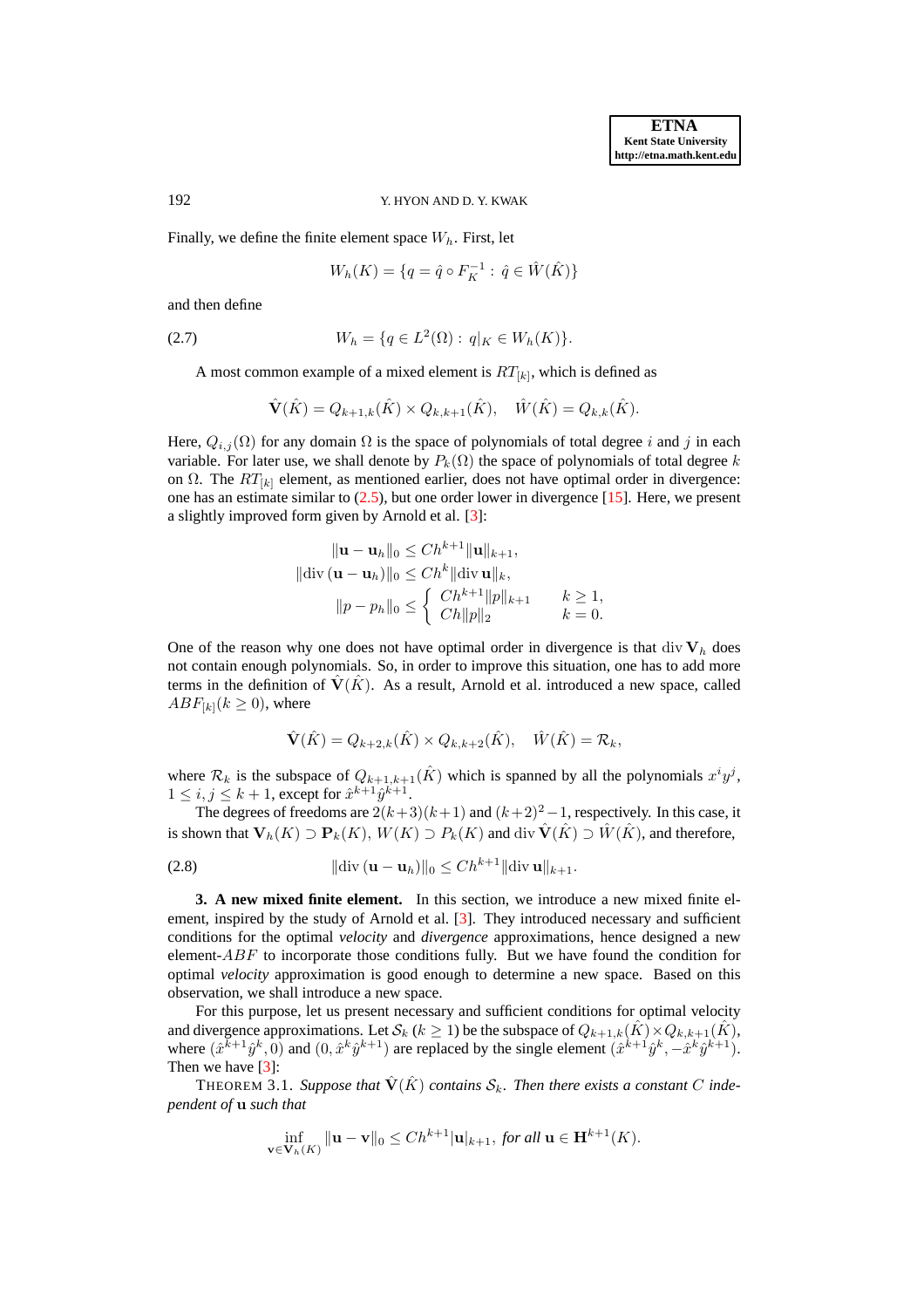### 192 Y. HYON AND D. Y. KWAK

Finally, we define the finite element space  $W_h$ . First, let

<span id="page-3-0"></span>
$$
W_h(K) = \{ q = \hat{q} \circ F_K^{-1} : \hat{q} \in \hat{W}(\hat{K}) \}
$$

and then define

(2.7) 
$$
W_h = \{q \in L^2(\Omega) : q|_K \in W_h(K)\}.
$$

A most common example of a mixed element is  $RT_{[k]}$ , which is defined as

$$
\hat{\mathbf{V}}(\hat{K}) = Q_{k+1,k}(\hat{K}) \times Q_{k,k+1}(\hat{K}), \quad \hat{W}(\hat{K}) = Q_{k,k}(\hat{K}).
$$

Here,  $Q_{i,j}(\Omega)$  for any domain  $\Omega$  is the space of polynomials of total degree i and j in each variable. For later use, we shall denote by  $P_k(\Omega)$  the space of polynomials of total degree k on  $\Omega$ . The  $RT_{[k]}$  element, as mentioned earlier, does not have optimal order in divergence: one has an estimate similar to  $(2.5)$ , but one order lower in divergence  $[15]$ . Here, we present a slightly improved form given by Arnold et al. [\[3\]](#page-12-11):

$$
\|\mathbf{u} - \mathbf{u}_h\|_0 \le Ch^{k+1} \|\mathbf{u}\|_{k+1},
$$
  

$$
\|\text{div} (\mathbf{u} - \mathbf{u}_h)\|_0 \le Ch^k \|\text{div} \mathbf{u}\|_k,
$$
  

$$
\|p - p_h\|_0 \le \begin{cases} Ch^{k+1} \|p\|_{k+1} & k \ge 1, \\ Ch \|p\|_2 & k = 0. \end{cases}
$$

One of the reason why one does not have optimal order in divergence is that div  $V_h$  does not contain enough polynomials. So, in order to improve this situation, one has to add more terms in the definition of  $\hat{V}(\hat{K})$ . As a result, Arnold et al. introduced a new space, called  $ABF_{[k]}(k \geq 0)$ , where

$$
\hat{\mathbf{V}}(\hat{K}) = Q_{k+2,k}(\hat{K}) \times Q_{k,k+2}(\hat{K}), \quad \hat{W}(\hat{K}) = \mathcal{R}_k,
$$

where  $\mathcal{R}_k$  is the subspace of  $Q_{k+1,k+1}(\hat{K})$  which is spanned by all the polynomials  $x^i y^j$ ,  $1 \leq i, j \leq k+1$ , except for  $\hat{x}^{k+1} \hat{y}^{k+1}$ .

The degrees of freedoms are  $2(k+3)(k+1)$  and  $(k+2)^2-1$ , respectively. In this case, it is shown that  $V_h(K) \supset P_k(K)$ ,  $W(K) \supset P_k(K)$  and div  $\hat{V}(\hat{K}) \supset \hat{W}(\hat{K})$ , and therefore,

(2.8) 
$$
\|\text{div}(\mathbf{u}-\mathbf{u}_h)\|_0 \leq Ch^{k+1} \|\text{div} \,\mathbf{u}\|_{k+1}.
$$

**3. A new mixed finite element.** In this section, we introduce a new mixed finite element, inspired by the study of Arnold et al. [\[3\]](#page-12-11). They introduced necessary and sufficient conditions for the optimal *velocity* and *divergence* approximations, hence designed a new element-ABF to incorporate those conditions fully. But we have found the condition for optimal *velocity* approximation is good enough to determine a new space. Based on this observation, we shall introduce a new space.

For this purpose, let us present necessary and sufficient conditions for optimal velocity and divergence approximations. Let  $\mathcal{S}_k$  ( $k \geq 1$ ) be the subspace of  $Q_{k+1,k}(\hat{K}) \times Q_{k,k+1}(\hat{K})$ , where  $(\hat{x}^{k+1}\hat{y}^k,0)$  and  $(0,\hat{x}^k\hat{y}^{k+1})$  are replaced by the single element  $(\hat{x}^{k+1}\hat{y}^k,-\hat{x}^k\hat{y}^{k+1})$ . Then we have [\[3\]](#page-12-11):

THEOREM 3.1. Suppose that  $\hat{\mathbf{V}}(\hat{K})$  contains  $\mathcal{S}_k$ . Then there exists a constant C inde*pendent of* u *such that*

<span id="page-3-1"></span>
$$
\inf_{\mathbf{v}\in\mathbf{V}_h(K)}\|\mathbf{u}-\mathbf{v}\|_0\le Ch^{k+1}|\mathbf{u}|_{k+1},\text{ for all }\mathbf{u}\in\mathbf{H}^{k+1}(K).
$$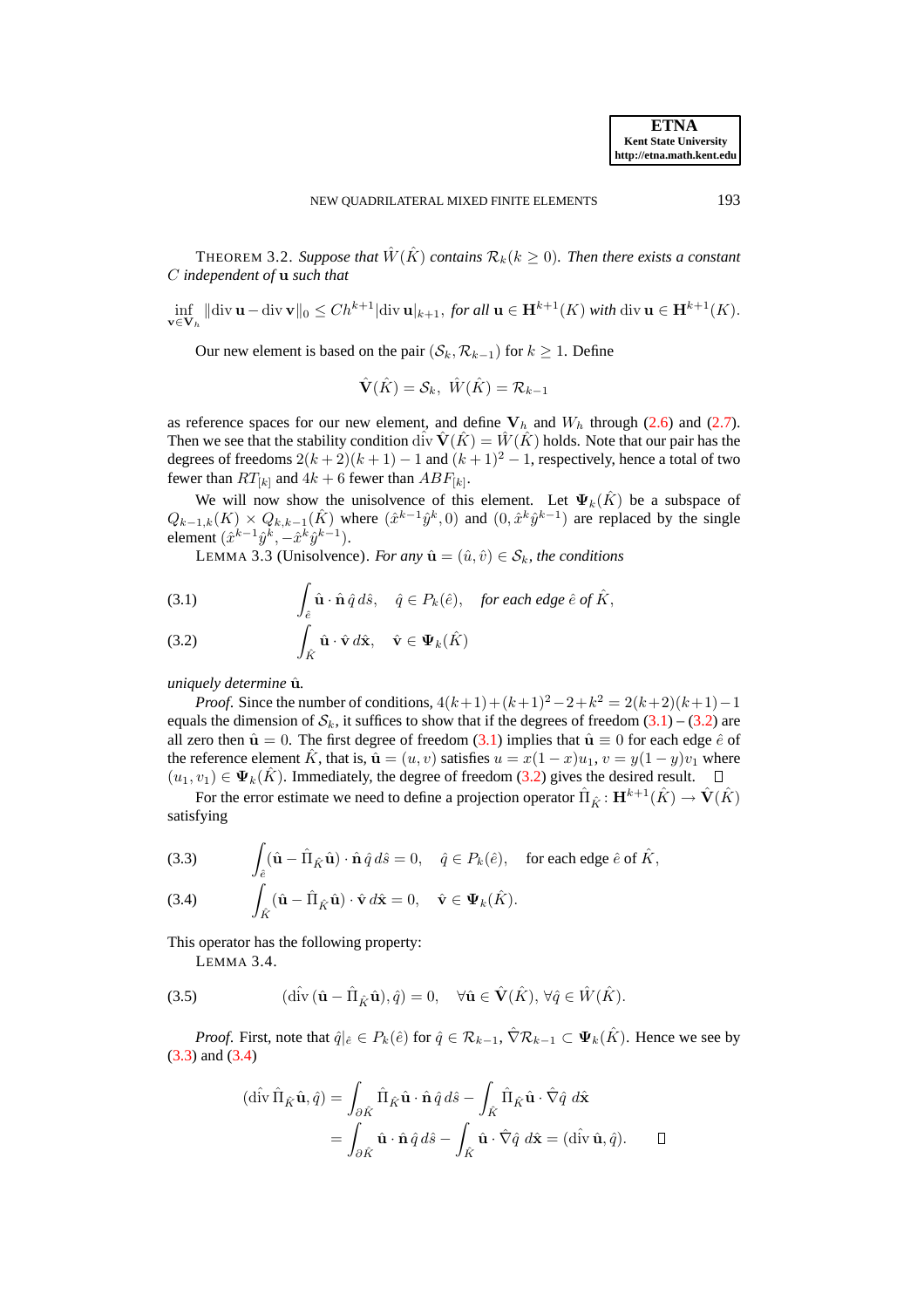<span id="page-4-5"></span>THEOREM 3.2. Suppose that  $\hat{W}(\hat{K})$  contains  $\mathcal{R}_k(k \geq 0)$ . Then there exists a constant C *independent of* u *such that*

$$
\inf_{\mathbf{v}\in\mathbf{V}_h} \|\text{div}\,\mathbf{u} - \text{div}\,\mathbf{v}\|_0 \le Ch^{k+1} |\text{div}\,\mathbf{u}|_{k+1}, \text{ for all } \mathbf{u}\in\mathbf{H}^{k+1}(K) \text{ with } \text{div}\,\mathbf{u}\in\mathbf{H}^{k+1}(K).
$$

Our new element is based on the pair  $(S_k, \mathcal{R}_{k-1})$  for  $k \geq 1$ . Define

$$
\hat{\mathbf{V}}(\hat{K}) = \mathcal{S}_k, \ \hat{W}(\hat{K}) = \mathcal{R}_{k-1}
$$

as reference spaces for our new element, and define  $V_h$  and  $W_h$  through [\(2.6\)](#page-2-1) and [\(2.7\)](#page-3-0). Then we see that the stability condition div  $\hat{\mathbf{V}}(\hat{K}) = \hat{W}(\hat{K})$  holds. Note that our pair has the degrees of freedoms  $2(k+2)(k+1) - 1$  and  $(k+1)^2 - 1$ , respectively, hence a total of two fewer than  $RT_{[k]}$  and  $4k + 6$  fewer than  $ABF_{[k]}.$ 

We will now show the unisolvence of this element. Let  $\Psi_k(\hat{K})$  be a subspace of  $Q_{k-1,k}(K) \times Q_{k,k-1}(\hat{K})$  where  $(\hat{x}^{k-1}\hat{y}^k,0)$  and  $(0,\hat{x}^k\hat{y}^{k-1})$  are replaced by the single element  $(\hat{x}^{k-1}\hat{y}^k, -\hat{x}^k\hat{y}^{k-1}).$ 

LEMMA 3.3 (Unisolvence). *For any*  $\hat{\mathbf{u}} = (\hat{u}, \hat{v}) \in S_k$ *, the conditions* 

<span id="page-4-0"></span>(3.1) 
$$
\int_{\hat{e}} \hat{\mathbf{u}} \cdot \hat{\mathbf{n}} \, \hat{q} \, d\hat{s}, \quad \hat{q} \in P_k(\hat{e}), \quad \text{for each edge } \hat{e} \text{ of } \hat{K},
$$

<span id="page-4-1"></span>(3.2) 
$$
\int_{\hat{K}} \hat{\mathbf{u}} \cdot \hat{\mathbf{v}} d\hat{\mathbf{x}}, \quad \hat{\mathbf{v}} \in \Psi_k(\hat{K})
$$

*uniquely determine*  $\hat{u}$ *.* 

*Proof.* Since the number of conditions,  $4(k+1) + (k+1)^2 - 2 + k^2 = 2(k+2)(k+1) - 1$ equals the dimension of  $S_k$ , it suffices to show that if the degrees of freedom  $(3.1) - (3.2)$  $(3.1) - (3.2)$  $(3.1) - (3.2)$  are all zero then  $\hat{\mathbf{u}} = 0$ . The first degree of freedom [\(3.1\)](#page-4-0) implies that  $\hat{\mathbf{u}} \equiv 0$  for each edge  $\hat{e}$  of the reference element  $\hat{K}$ , that is,  $\hat{\mathbf{u}} = (u, v)$  satisfies  $u = x(1 - x)u_1$ ,  $v = y(1 - y)v_1$  where  $(u_1, v_1) \in \Psi_k(\hat{K})$ . Immediately, the degree of freedom [\(3.2\)](#page-4-1) gives the desired result.  $\Box$ 

For the error estimate we need to define a projection operator  $\hat{\Pi}_{\hat{K}}\colon \mathbf{H}^{k+1}(\hat{K})\to \hat{\mathbf{V}}(\hat{K})$ satisfying

<span id="page-4-3"></span><span id="page-4-2"></span>(3.3) 
$$
\int_{\hat{e}} (\hat{\mathbf{u}} - \hat{\Pi}_{\hat{K}} \hat{\mathbf{u}}) \cdot \hat{\mathbf{n}} \hat{q} d\hat{s} = 0, \quad \hat{q} \in P_k(\hat{e}), \quad \text{for each edge } \hat{e} \text{ of } \hat{K},
$$
  
(3.4) 
$$
\int_{\hat{K}} (\hat{\mathbf{u}} - \hat{\Pi}_{\hat{K}} \hat{\mathbf{u}}) \cdot \hat{\mathbf{v}} d\hat{\mathbf{x}} = 0, \quad \hat{\mathbf{v}} \in \Psi_k(\hat{K}).
$$

This operator has the following property:

<span id="page-4-4"></span>LEMMA 3.4.

(3.5) 
$$
(\hat{\mathrm{div}}\,(\hat{\mathbf{u}} - \hat{\Pi}_{\hat{K}}\hat{\mathbf{u}}), \hat{q}) = 0, \quad \forall \hat{\mathbf{u}} \in \hat{\mathbf{V}}(\hat{K}), \forall \hat{q} \in \hat{W}(\hat{K}).
$$

*Proof.* First, note that  $\hat{q}|_{\hat{e}} \in P_k(\hat{e})$  for  $\hat{q} \in \mathcal{R}_{k-1}$ ,  $\hat{\nabla} \mathcal{R}_{k-1} \subset \Psi_k(\hat{K})$ . Hence we see by [\(3.3\)](#page-4-2) and [\(3.4\)](#page-4-3)

$$
(\hat{\text{div}} \hat{\Pi}_{\hat{K}} \hat{\mathbf{u}}, \hat{q}) = \int_{\partial \hat{K}} \hat{\Pi}_{\hat{K}} \hat{\mathbf{u}} \cdot \hat{\mathbf{n}} \hat{q} \, d\hat{s} - \int_{\hat{K}} \hat{\Pi}_{\hat{K}} \hat{\mathbf{u}} \cdot \hat{\nabla} \hat{q} \, d\hat{\mathbf{x}} = \int_{\partial \hat{K}} \hat{\mathbf{u}} \cdot \hat{\mathbf{n}} \hat{q} \, d\hat{s} - \int_{\hat{K}} \hat{\mathbf{u}} \cdot \hat{\nabla} \hat{q} \, d\hat{\mathbf{x}} = (\hat{\text{div}} \hat{\mathbf{u}}, \hat{q}). \qquad \Box
$$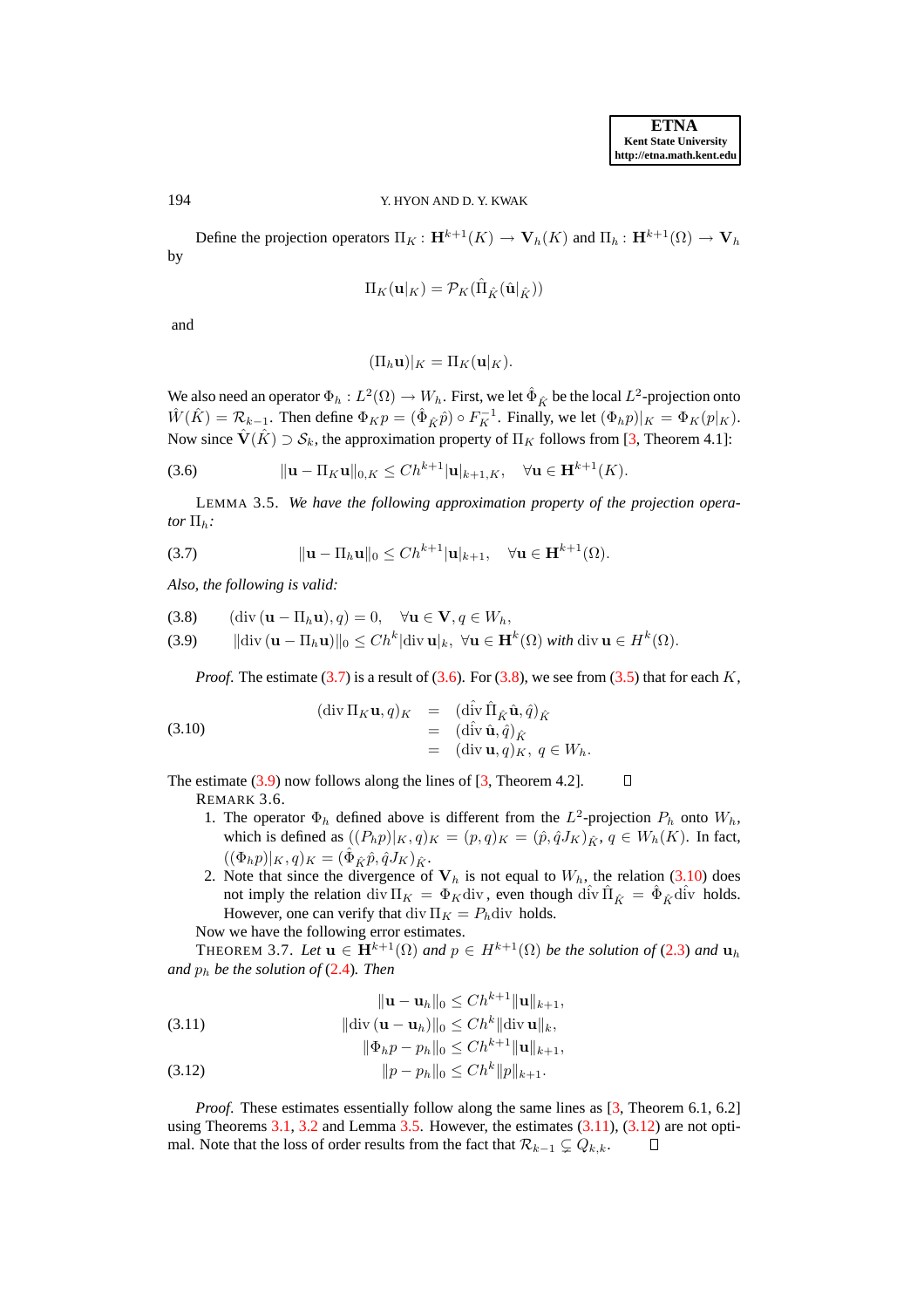194 Y. HYON AND D. Y. KWAK

Define the projection operators  $\Pi_K : \mathbf{H}^{k+1}(K) \to \mathbf{V}_h(K)$  and  $\Pi_h : \mathbf{H}^{k+1}(\Omega) \to \mathbf{V}_h$ by

$$
\Pi_K(\mathbf{u}|_K)=\mathcal{P}_K(\hat{\Pi}_{\hat{K}}(\hat{\mathbf{u}}|_{\hat{K}}))
$$

and

$$
(\Pi_h \mathbf{u})|_K = \Pi_K(\mathbf{u}|_K).
$$

We also need an operator  $\Phi_h: L^2(\Omega)\to W_h.$  First, we let  $\hat{\Phi}_{\hat{K}}$  be the local  $L^2$ -projection onto  $\hat{W}(\hat{K}) = \mathcal{R}_{k-1}$ . Then define  $\Phi_K p = (\hat{\Phi}_{\hat{K}} \hat{p}) \circ F_K^{-1}$ . Finally, we let  $(\Phi_h p)|_K = \Phi_K(p|_K)$ . Now since  $\hat{\mathbf{V}}(\hat{K}) \supset \mathcal{S}_k$ , the approximation property of  $\Pi_K$  follows from [\[3,](#page-12-11) Theorem 4.1]:

<span id="page-5-4"></span><span id="page-5-1"></span>(3.6) 
$$
\|\mathbf{u} - \Pi_K \mathbf{u}\|_{0,K} \leq Ch^{k+1} |\mathbf{u}|_{k+1,K}, \quad \forall \mathbf{u} \in \mathbf{H}^{k+1}(K).
$$

LEMMA 3.5. *We have the following approximation property of the projection operator*  $\Pi_h$ *:* 

<span id="page-5-0"></span>(3.7)  $\|\mathbf{u} - \Pi_h \mathbf{u}\|_0 \le C h^{k+1} |\mathbf{u}|_{k+1}, \quad \forall \mathbf{u} \in \mathbf{H}^{k+1}(\Omega).$ 

*Also, the following is valid:*

<span id="page-5-2"></span>
$$
(3.8) \qquad (\text{div } (\mathbf{u} - \Pi_h \mathbf{u}), q) = 0, \quad \forall \mathbf{u} \in \mathbf{V}, q \in W_h,
$$

(3.9)  $\|\text{div}\,(\mathbf{u}-\Pi_h\mathbf{u})\|_0 \leq Ch^k|\text{div}\,\mathbf{u}|_k, \ \forall \mathbf{u} \in \mathbf{H}^k(\Omega) \text{ with } \text{div}\,\mathbf{u} \in H^k(\Omega).$ 

<span id="page-5-3"></span>*Proof.* The estimate  $(3.7)$  is a result of  $(3.6)$ . For  $(3.8)$ , we see from  $(3.5)$  that for each K,

(3.10)  
\n
$$
(\text{div }\Pi_K \mathbf{u}, q)_K = (\text{div }\hat{\mathbf{u}}_k \hat{\mathbf{u}}, \hat{q})_{\hat{K}}
$$
\n
$$
= (\text{div }\hat{\mathbf{u}}, \hat{q})_{\hat{K}}
$$
\n
$$
= (\text{div }\mathbf{u}, q)_K, q \in W_h.
$$

The estimate  $(3.9)$  now follows along the lines of  $[3,$  Theorem 4.2].  $\Box$ 

REMARK 3.6.

- 1. The operator  $\Phi_h$  defined above is different from the  $L^2$ -projection  $P_h$  onto  $W_h$ , which is defined as  $((P_h p)|_K, q)_K = (p, q)_K = (\hat{p}, \hat{q} J_K)_{\hat{K}}, q \in W_h(K)$ . In fact,  $((\Phi_h p)|_K, q)_K = (\hat{\Phi}_{\hat{K}} \hat{p}, \hat{q} J_K)_{\hat{K}}.$
- 2. Note that since the divergence of  $V_h$  is not equal to  $W_h$ , the relation [\(3.10\)](#page-5-3) does not imply the relation div  $\Pi_K = \Phi_K$ div, even though di $\hat{\Pi}_{\hat{K}} = \hat{\Phi}_{\hat{K}} d\hat{\Pi}$  holds. However, one can verify that div  $\Pi_K = P_h$ div holds. Now we have the following error estimates.

THEOREM 3.7. Let  $\mathbf{u} \in \mathbf{H}^{k+1}(\Omega)$  and  $p \in H^{k+1}(\Omega)$  be the solution of [\(2.3\)](#page-1-2) and  $\mathbf{u}_h$ *and* p<sup>h</sup> *be the solution of* [\(2.4\)](#page-2-2)*. Then*

<span id="page-5-5"></span>(3.11) 
$$
\|\mathbf{u} - \mathbf{u}_h\|_0 \leq Ch^{k+1} \|\mathbf{u}\|_{k+1},
$$

$$
\|\text{div}(\mathbf{u} - \mathbf{u}_h)\|_0 \leq Ch^k \|\text{div}\,\mathbf{u}\|_k,
$$

$$
\|\mathbf{w}_h\|_{\mathbf{0}} \leq Ch \|\mathbf{w}_h\|_{\mathbf{0}}^2,
$$
  

$$
\|\Phi_h p - p_h\|_{\mathbf{0}} \leq Ch^{k+1} \|\mathbf{u}\|_{k+1},
$$

$$
(3.12) \t\t\t ||p - p_h||_0 \le Ch^k ||p||_{k+1}.
$$

*Proof.* These estimates essentially follow along the same lines as [\[3,](#page-12-11) Theorem 6.1, 6.2] using Theorems  $3.1$ ,  $3.2$  and Lemma  $3.5$ . However, the estimates  $(3.11)$ ,  $(3.12)$  are not optimal. Note that the loss of order results from the fact that  $\mathcal{R}_{k-1} \subsetneq Q_{k,k}$ . □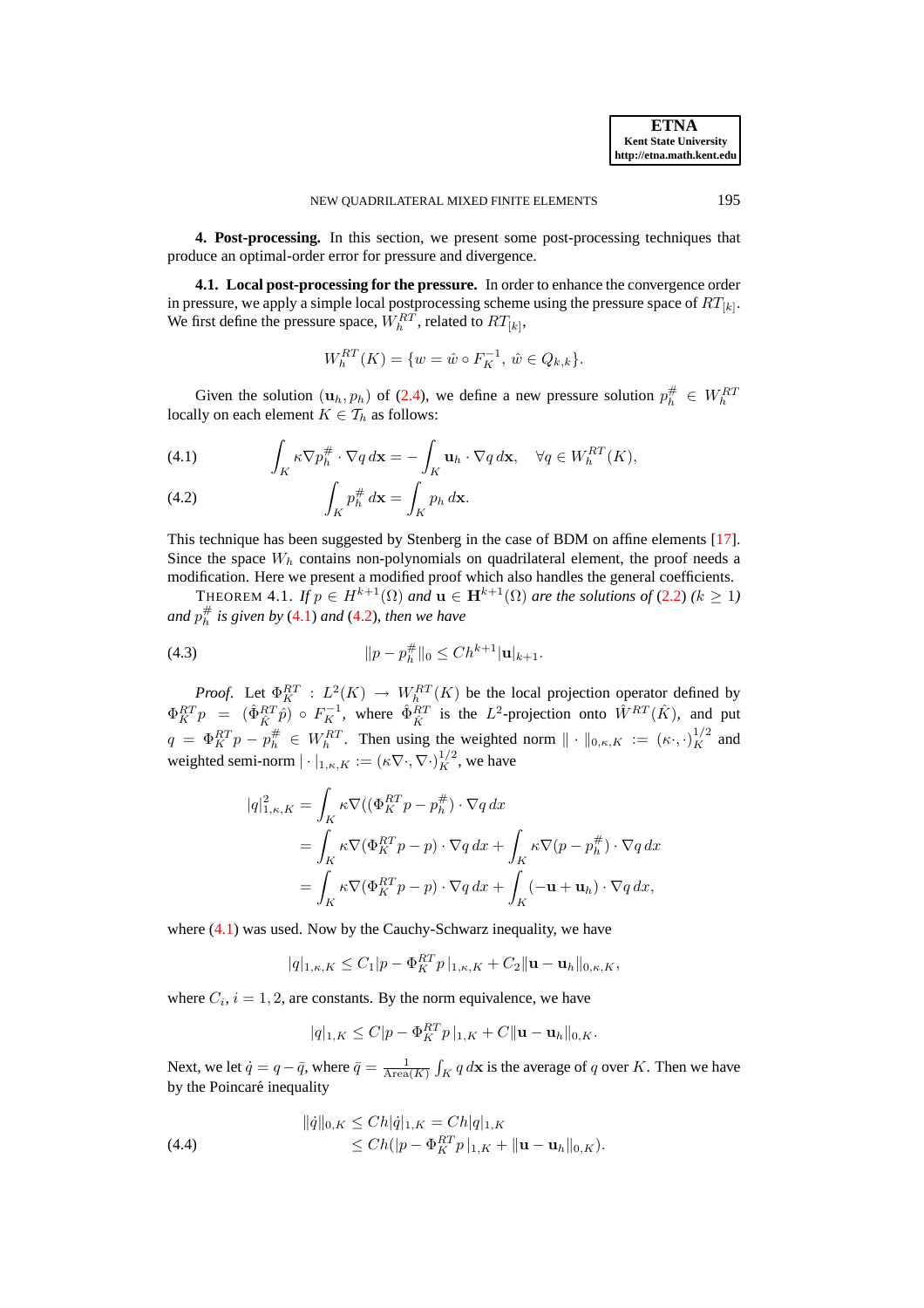**4. Post-processing.** In this section, we present some post-processing techniques that produce an optimal-order error for pressure and divergence.

**4.1. Local post-processing for the pressure.** In order to enhance the convergence order in pressure, we apply a simple local postprocessing scheme using the pressure space of  $RT_{[k]}$ . We first define the pressure space,  $W_h^{RT}$ , related to  $RT_{[k]}$ ,

$$
W_h^{RT}(K) = \{ w = \hat{w} \circ F_K^{-1}, \, \hat{w} \in Q_{k,k} \}.
$$

Given the solution  $(\mathbf{u}_h, p_h)$  of [\(2.4\)](#page-2-2), we define a new pressure solution  $p_h^{\#} \in W_h^{RT}$ locally on each element  $K \in \mathcal{T}_h$  as follows:

<span id="page-6-0"></span>(4.1) 
$$
\int_{K} \kappa \nabla p_h^{\#} \cdot \nabla q \, d\mathbf{x} = -\int_{K} \mathbf{u}_h \cdot \nabla q \, d\mathbf{x}, \quad \forall q \in W_h^{RT}(K),
$$

(4.2) 
$$
\int_K p_h^{\#} d\mathbf{x} = \int_K p_h d\mathbf{x}.
$$

This technique has been suggested by Stenberg in the case of BDM on affine elements [\[17\]](#page-12-14). Since the space  $W<sub>h</sub>$  contains non-polynomials on quadrilateral element, the proof needs a modification. Here we present a modified proof which also handles the general coefficients.

THEOREM 4.1. *If*  $p \in H^{k+1}(\Omega)$  *and*  $\mathbf{u} \in \mathbf{H}^{k+1}(\Omega)$  *are the solutions of* [\(2.2\)](#page-1-1)  $(k \geq 1)$ and  $p_h^{\#}$  is given by [\(4.1\)](#page-6-0) and [\(4.2\)](#page-6-0), then we have

(4.3) 
$$
||p - p_h^{\#}||_0 \leq Ch^{k+1} |\mathbf{u}|_{k+1}.
$$

*Proof.* Let  $\Phi_K^{RT}$  :  $L^2(K) \to W_h^{RT}(K)$  be the local projection operator defined by  $\Phi_K^{RT} p = (\hat{\Phi}_{\hat{K}}^{RT} \hat{p}) \circ F_K^{-1}$ , where  $\hat{\Phi}_{\hat{K}}^{RT}$  is the  $L^2$ -projection onto  $\hat{W}^{RT}(\hat{K})$ , and put  $q = \Phi_K^{RT} p - p_h^{\#} \in W_h^{RT}$ . Then using the weighted norm  $\| \cdot \|_{0,\kappa,K} := (\kappa \cdot, \cdot)_K^{1/2}$  and weighted semi-norm  $|\cdot|_{1,\kappa,K} := (\kappa \nabla \cdot, \nabla \cdot)_{K}^{1/2}$ , we have

<span id="page-6-2"></span>
$$
|q|_{1,\kappa,K}^2 = \int_K \kappa \nabla ((\Phi_K^{RT} p - p_h^{\#}) \cdot \nabla q \, dx
$$
  
= 
$$
\int_K \kappa \nabla (\Phi_K^{RT} p - p) \cdot \nabla q \, dx + \int_K \kappa \nabla (p - p_h^{\#}) \cdot \nabla q \, dx
$$
  
= 
$$
\int_K \kappa \nabla (\Phi_K^{RT} p - p) \cdot \nabla q \, dx + \int_K (-\mathbf{u} + \mathbf{u}_h) \cdot \nabla q \, dx,
$$

where [\(4.1\)](#page-6-0) was used. Now by the Cauchy-Schwarz inequality, we have

$$
|q|_{1,\kappa,K} \leq C_1 |p - \Phi_K^{RT} p|_{1,\kappa,K} + C_2 \|\mathbf{u} - \mathbf{u}_h\|_{0,\kappa,K},
$$

where  $C_i$ ,  $i = 1, 2$ , are constants. By the norm equivalence, we have

<span id="page-6-1"></span>
$$
|q|_{1,K} \leq C|p - \Phi_K^{RT} p|_{1,K} + C \|\mathbf{u} - \mathbf{u}_h\|_{0,K}.
$$

Next, we let  $\dot{q} = q - \bar{q}$ , where  $\bar{q} = \frac{1}{\text{Area}(K)} \int_K q \, d\mathbf{x}$  is the average of q over K. Then we have by the Poincaré inequality

(4.4) 
$$
\| \dot{q} \|_{0,K} \leq Ch |\dot{q}|_{1,K} = Ch |q|_{1,K} \leq Ch (|p - \Phi_{K}^{RT} p|_{1,K} + ||\mathbf{u} - \mathbf{u}_{h}||_{0,K}).
$$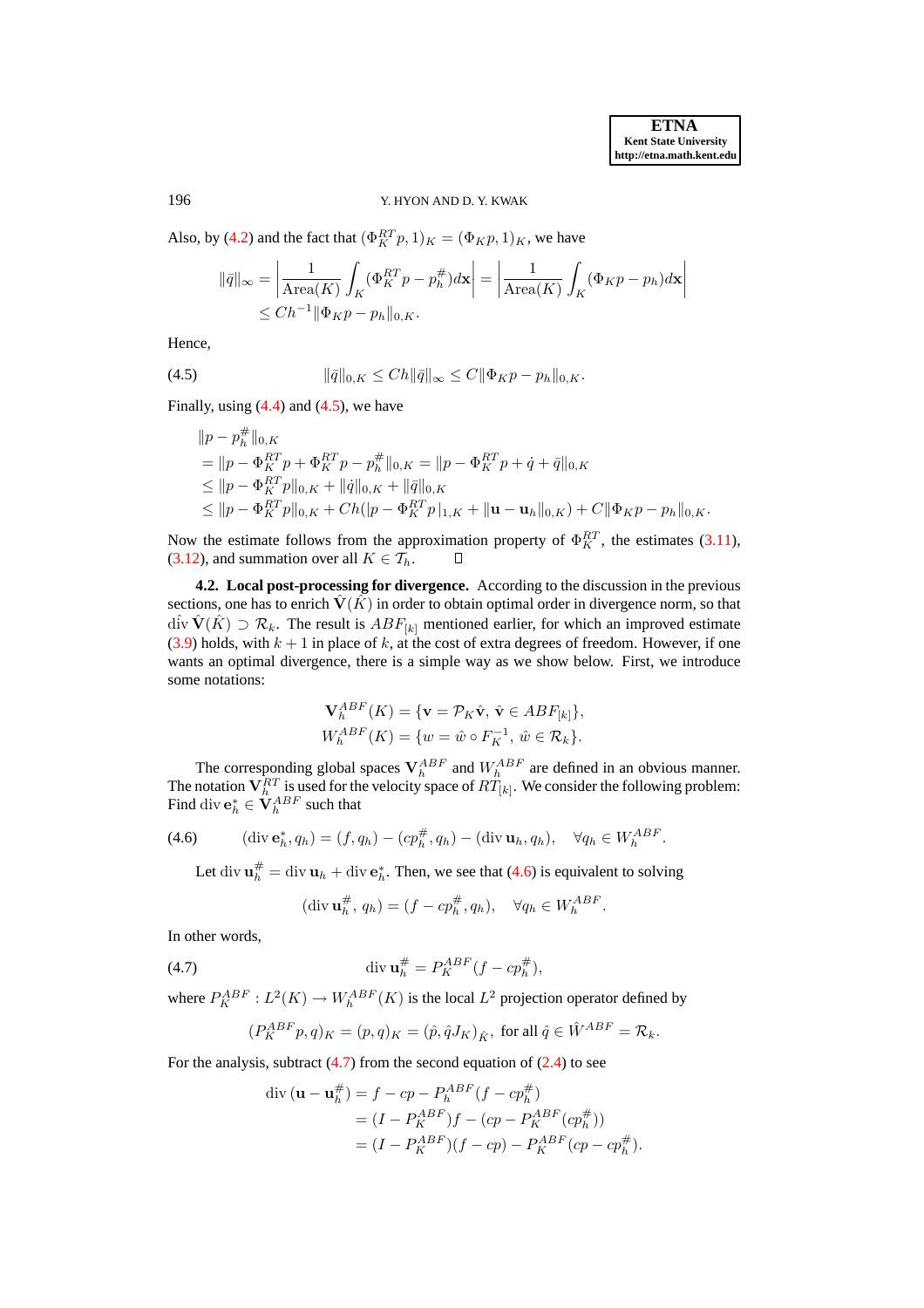## 196 Y. HYON AND D. Y. KWAK

Also, by [\(4.2\)](#page-6-0) and the fact that  $(\Phi_K^{RT} p, 1)_K = (\Phi_K p, 1)_K$ , we have

$$
\|\bar{q}\|_{\infty} = \left| \frac{1}{\text{Area}(K)} \int_{K} (\Phi_{K}^{RT} p - p_{h}^{\#}) d\mathbf{x} \right| = \left| \frac{1}{\text{Area}(K)} \int_{K} (\Phi_{K} p - p_{h}) d\mathbf{x} \right|
$$
  

$$
\leq Ch^{-1} \|\Phi_{K} p - p_{h}\|_{0,K}.
$$

Hence,

(4.5) 
$$
\|\bar{q}\|_{0,K} \leq Ch \|\bar{q}\|_{\infty} \leq C \|\Phi_K p - p_h\|_{0,K}.
$$

Finally, using  $(4.4)$  and  $(4.5)$ , we have

<span id="page-7-0"></span>
$$
||p - p_h^{\#}||_{0,K}
$$
  
=  $||p - \Phi_K^{RT} p + \Phi_K^{RT} p - p_h^{\#}||_{0,K} = ||p - \Phi_K^{RT} p + \dot{q} + \bar{q}||_{0,K}$   
 $\leq ||p - \Phi_K^{RT} p||_{0,K} + ||\dot{q}||_{0,K} + ||\bar{q}||_{0,K}$   
 $\leq ||p - \Phi_K^{RT} p||_{0,K} + Ch(|p - \Phi_K^{RT} p)|_{1,K} + ||\mathbf{u} - \mathbf{u}_h||_{0,K} + C ||\Phi_K p - p_h||_{0,K}.$ 

Now the estimate follows from the approximation property of  $\Phi_K^{RT}$ , the estimates [\(3.11\)](#page-5-5), [\(3.12\)](#page-5-5), and summation over all  $K \in \mathcal{T}_h$ .  $\Box$ 

**4.2. Local post-processing for divergence.** According to the discussion in the previous sections, one has to enrich  $\hat{V}(K)$  in order to obtain optimal order in divergence norm, so that  $\hat{\text{div}} \hat{\textbf{V}}(\hat{K}) \supset \mathcal{R}_k$ . The result is  $ABF_{[k]}$  mentioned earlier, for which an improved estimate  $(3.9)$  holds, with  $k + 1$  in place of k, at the cost of extra degrees of freedom. However, if one wants an optimal divergence, there is a simple way as we show below. First, we introduce some notations:

$$
\mathbf{V}_{h}^{ABF}(K) = \{ \mathbf{v} = \mathcal{P}_{K}\hat{\mathbf{v}}, \ \hat{\mathbf{v}} \in ABF_{[k]} \},
$$
  

$$
W_{h}^{ABF}(K) = \{ w = \hat{w} \circ F_{K}^{-1}, \ \hat{w} \in \mathcal{R}_{k} \}.
$$

The corresponding global spaces  $V_h^{ABF}$  and  $W_h^{ABF}$  are defined in an obvious manner. The notation  $V_h^{RT}$  is used for the velocity space of  $RT_{[k]}$ . We consider the following problem: Find div  $\mathbf{e}_h^* \in \widetilde{\mathbf{V}}_h^{ABF}$  such that

(4.6) 
$$
(\text{div } \mathbf{e}_h^*, q_h) = (f, q_h) - (cp_h^{\#}, q_h) - (\text{div } \mathbf{u}_h, q_h), \quad \forall q_h \in W_h^{ABF}.
$$

<span id="page-7-1"></span>Let div  $\mathbf{u}_h^{\#} = \text{div } \mathbf{u}_h + \text{div } \mathbf{e}_h^*$ . Then, we see that [\(4.6\)](#page-7-1) is equivalent to solving

<span id="page-7-2"></span>
$$
(\text{div } \mathbf{u}_h^{\#}, q_h) = (f - cp_h^{\#}, q_h), \quad \forall q_h \in W_h^{ABF}.
$$

In other words,

(4.7) 
$$
\operatorname{div} \mathbf{u}_h^{\#} = P_K^{ABF} (f - cp_h^{\#}),
$$

where  $P_K^{ABF}: L^2(K) \to W_h^{ABF}(K)$  is the local  $L^2$  projection operator defined by

$$
(P^{ABF}_K p,q)_K = (p,q)_K = (\hat{p},\hat{q}J_K)_{\hat{K}}, \text{ for all } \hat{q} \in \hat{W}^{ABF} = \mathcal{R}_k.
$$

For the analysis, subtract  $(4.7)$  from the second equation of  $(2.4)$  to see

$$
\begin{aligned} \text{div}\left(\mathbf{u} - \mathbf{u}_h^{\#}\right) &= f - cp - P_h^{ABF}(f - cp_h^{\#}) \\ &= (I - P_K^{ABF})f - (cp - P_K^{ABF}(cp_h^{\#})) \\ &= (I - P_K^{ABF})(f - cp) - P_K^{ABF}(cp - cp_h^{\#}). \end{aligned}
$$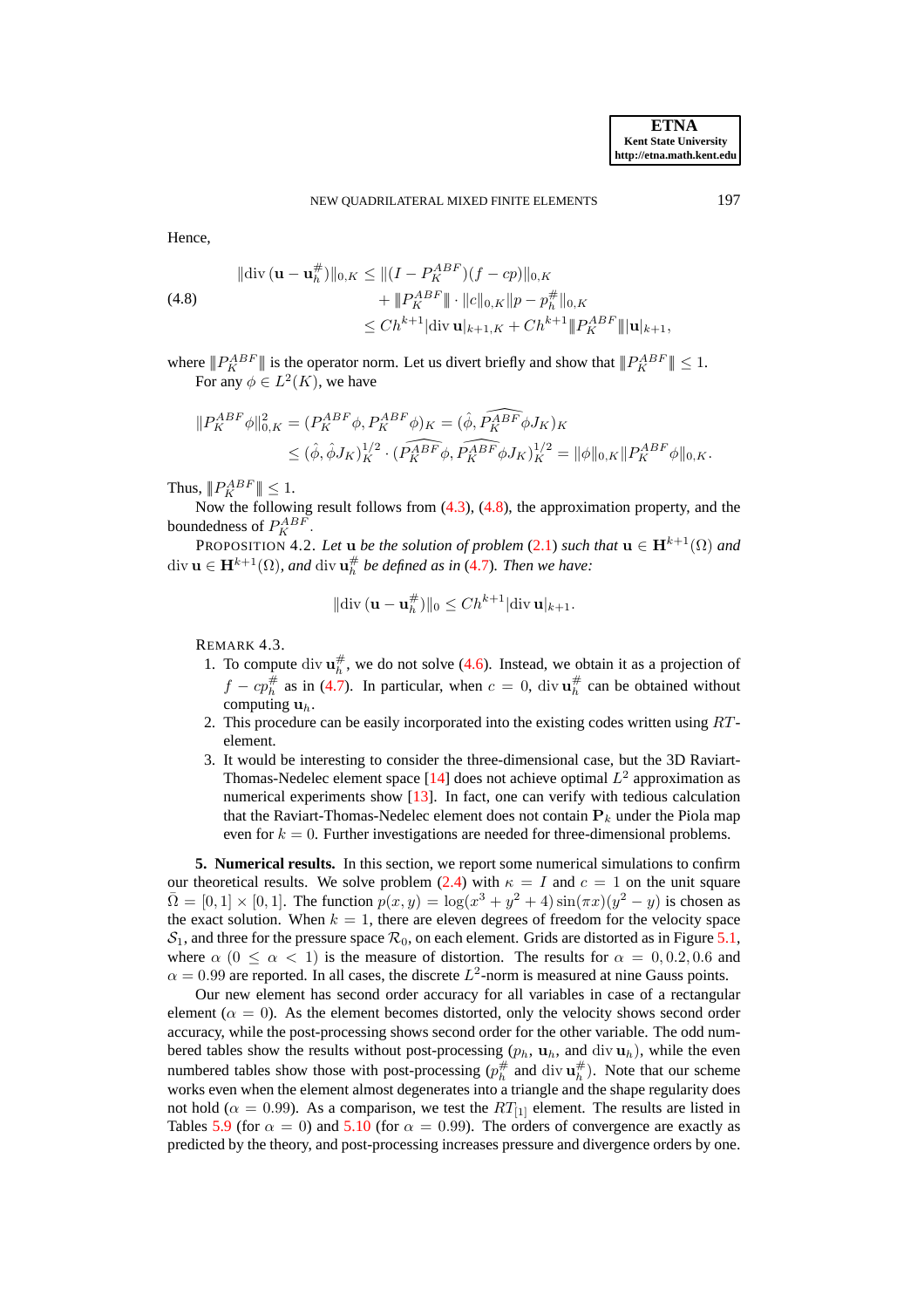Hence,

<span id="page-8-0"></span>
$$
\|\text{div}\,(\mathbf{u}-\mathbf{u}_h^{\#})\|_{0,K} \le \| (I - P_K^{ABF})(f - cp) \|_{0,K}
$$
  

$$
+ \| P_K^{ABF} \| \cdot \| c \|_{0,K} \| p - p_h^{\#} \|_{0,K}
$$
  

$$
\le C h^{k+1} |\text{div}\, \mathbf{u}|_{k+1,K} + C h^{k+1} \| P_K^{ABF} \| |\mathbf{u}|_{k+1},
$$

#

where  $||P_K^{ABF}||$  is the operator norm. Let us divert briefly and show that  $||P_K^{ABF}|| \leq 1$ . For any  $\phi \in L^2(K)$ , we have

$$
\|P_{K}^{ABF}\phi\|_{0,K}^{2} = (P_{K}^{ABF}\phi, P_{K}^{ABF}\phi)_{K} = (\hat{\phi}, \widehat{P_{K}^{ABF}\phi}J_{K})_{K}
$$
  

$$
\leq (\hat{\phi}, \hat{\phi}J_{K})_{K}^{1/2} \cdot (\widehat{P_{K}^{ABF}\phi}, \widehat{P_{K}^{ABF}\phi}J_{K})_{K}^{1/2} = \|\phi\|_{0,K} \|P_{K}^{ABF}\phi\|_{0,K}.
$$

Thus,  $||P_K^{ABF}|| \leq 1$ .

Now the following result follows from [\(4.3\)](#page-6-2), [\(4.8\)](#page-8-0), the approximation property, and the boundedness of  $P_K^{ABF}$ .

PROPOSITION 4.2. Let  $\mathbf{u}$  *be the solution of problem* [\(2.1\)](#page-1-0) *such that*  $\mathbf{u} \in \mathbf{H}^{k+1}(\Omega)$  *and* div  $\mathbf{u} \in \mathbf{H}^{k+1}(\Omega)$ , and div  $\mathbf{u}_h^{\#}$  be defined as in [\(4.7\)](#page-7-2). Then we have:

$$
\|\operatorname{div}\left(\mathbf{u}-\mathbf{u}_h^{\#}\right)\|_0 \leq Ch^{k+1}|\operatorname{div}\mathbf{u}|_{k+1}.
$$

REMARK 4.3.

- 1. To compute div  $\mathbf{u}_h^{\#}$ , we do not solve [\(4.6\)](#page-7-1). Instead, we obtain it as a projection of  $f - cp_h^{\#}$  as in [\(4.7\)](#page-7-2). In particular, when  $c = 0$ , div  $\mathbf{u}_h^{\#}$  can be obtained without computing  $\mathbf{u}_h$ .
- 2. This procedure can be easily incorporated into the existing codes written using  $RT$ element.
- 3. It would be interesting to consider the three-dimensional case, but the 3D Raviart-Thomas-Nedelec element space [\[14\]](#page-12-15) does not achieve optimal  $L^2$  approximation as numerical experiments show [\[13\]](#page-12-16). In fact, one can verify with tedious calculation that the Raviart-Thomas-Nedelec element does not contain  $P_k$  under the Piola map even for  $k = 0$ . Further investigations are needed for three-dimensional problems.

**5. Numerical results.** In this section, we report some numerical simulations to confirm our theoretical results. We solve problem [\(2.4\)](#page-2-2) with  $\kappa = I$  and  $c = 1$  on the unit square  $\bar{\Omega} = [0, 1] \times [0, 1]$ . The function  $p(x, y) = \log(x^3 + y^2 + 4) \sin(\pi x) (y^2 - y)$  is chosen as the exact solution. When  $k = 1$ , there are eleven degrees of freedom for the velocity space  $S_1$ , and three for the pressure space  $\mathcal{R}_0$ , on each element. Grids are distorted as in Figure [5.1,](#page-9-0) where  $\alpha$  ( $0 \leq \alpha < 1$ ) is the measure of distortion. The results for  $\alpha = 0, 0.2, 0.6$  and  $\alpha = 0.99$  are reported. In all cases, the discrete  $L^2$ -norm is measured at nine Gauss points.

Our new element has second order accuracy for all variables in case of a rectangular element ( $\alpha = 0$ ). As the element becomes distorted, only the velocity shows second order accuracy, while the post-processing shows second order for the other variable. The odd numbered tables show the results without post-processing  $(p_h, \mathbf{u}_h, \text{and } \text{div } \mathbf{u}_h)$ , while the even numbered tables show those with post-processing  $(p_h^{\#} \text{ and } \text{div } \mathbf{u}_h^{\#})$ . Note that our scheme works even when the element almost degenerates into a triangle and the shape regularity does not hold ( $\alpha = 0.99$ ). As a comparison, we test the  $RT_{[1]}$  element. The results are listed in Tables [5.9](#page-11-0) (for  $\alpha = 0$ ) and [5.10](#page-11-1) (for  $\alpha = 0.99$ ). The orders of convergence are exactly as predicted by the theory, and post-processing increases pressure and divergence orders by one.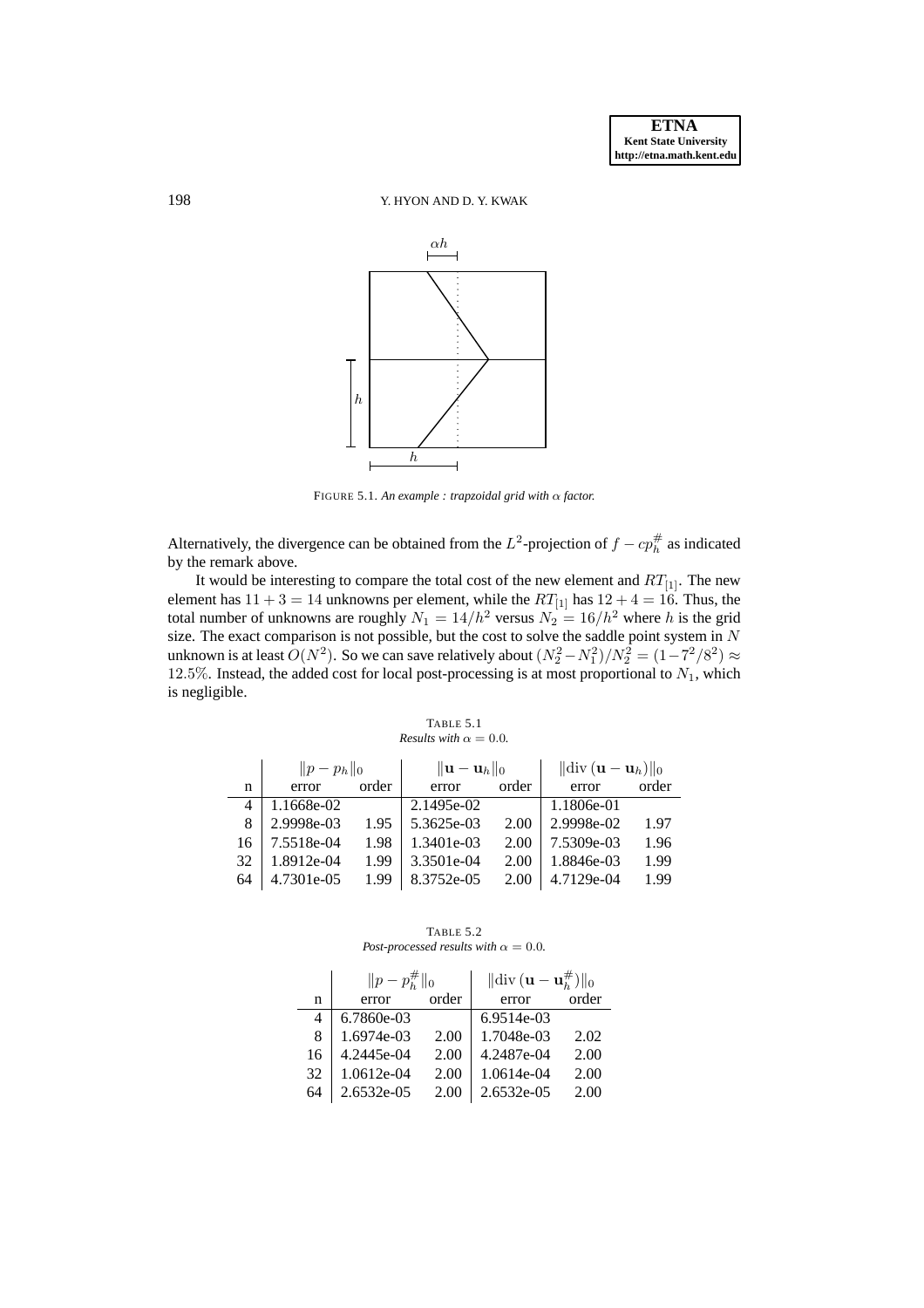# 198 Y. HYON AND D. Y. KWAK



<span id="page-9-0"></span>FIGURE 5.1. *An example : trapzoidal grid with* α *factor.*

Alternatively, the divergence can be obtained from the  $L^2$ -projection of  $f - cp_h^{\#}$  as indicated by the remark above.

It would be interesting to compare the total cost of the new element and  $RT_{[1]}$ . The new element has  $11 + 3 = 14$  unknowns per element, while the  $RT_{[1]}$  has  $12 + 4 = 16$ . Thus, the total number of unknowns are roughly  $N_1 = 14/h^2$  versus  $N_2 = 16/h^2$  where h is the grid size. The exact comparison is not possible, but the cost to solve the saddle point system in  $N$ unknown is at least  $O(N^2)$ . So we can save relatively about  $(N_2^2-N_1^2)/N_2^2=(1-7^2/8^2)\approx$ 12.5%. Instead, the added cost for local post-processing is at most proportional to  $N_1$ , which is negligible.

| TABLE 5.1                            |  |
|--------------------------------------|--|
| <i>Results with</i> $\alpha = 0.0$ . |  |

|    | $  p-p_h  _0$ |       | $\ \mathbf{u}-\mathbf{u}_h\ _0$ |       | $\ \text{div}\left(\mathbf{u}-\mathbf{u}_h\right)\ _0$ |       |
|----|---------------|-------|---------------------------------|-------|--------------------------------------------------------|-------|
| n  | error         | order | error                           | order | error                                                  | order |
| 4  | 1.1668e-02    |       | 2.1495e-02                      |       | 1.1806e-01                                             |       |
| 8  | 2.9998e-03    | 1.95  | 5.3625e-03                      | 2.00  | 2.9998e-02                                             | 1.97  |
| 16 | 7.5518e-04    | 1.98  | 1.3401e-03                      | 2.00  | 7.5309e-03                                             | 1.96  |
| 32 | 1.8912e-04    | 1.99  | 3.3501e-04                      | 2.00  | 1.8846e-03                                             | 1.99  |
| 64 | 4.7301e-05    | 1.99  | 8.3752e-05                      | 2.00  | 4.7129e-04                                             | 1.99  |

TABLE 5.2 *Post-processed results with*  $\alpha = 0.0$ *.* 

|    | $  p-p_h^{\#}  _0$ |       | $\ \text{div}\,(\mathbf{u}-\mathbf{u}_h^{\#})\ _0$ |       |  |
|----|--------------------|-------|----------------------------------------------------|-------|--|
| n  | error              | order | error                                              | order |  |
| 4  | 6.7860e-03         |       | 6.9514e-03                                         |       |  |
| 8  | 1.6974e-03         | 2.00  | 1.7048e-03                                         | 2.02  |  |
| 16 | 4.2445e-04         | 2.00  | 4.2487e-04                                         | 2.00  |  |
| 32 | 1.0612e-04         | 2.00  | 1.0614e-04                                         | 2.00  |  |
| 64 | 2.6532e-05         | 2.00  | 2.6532e-05                                         | 2.00  |  |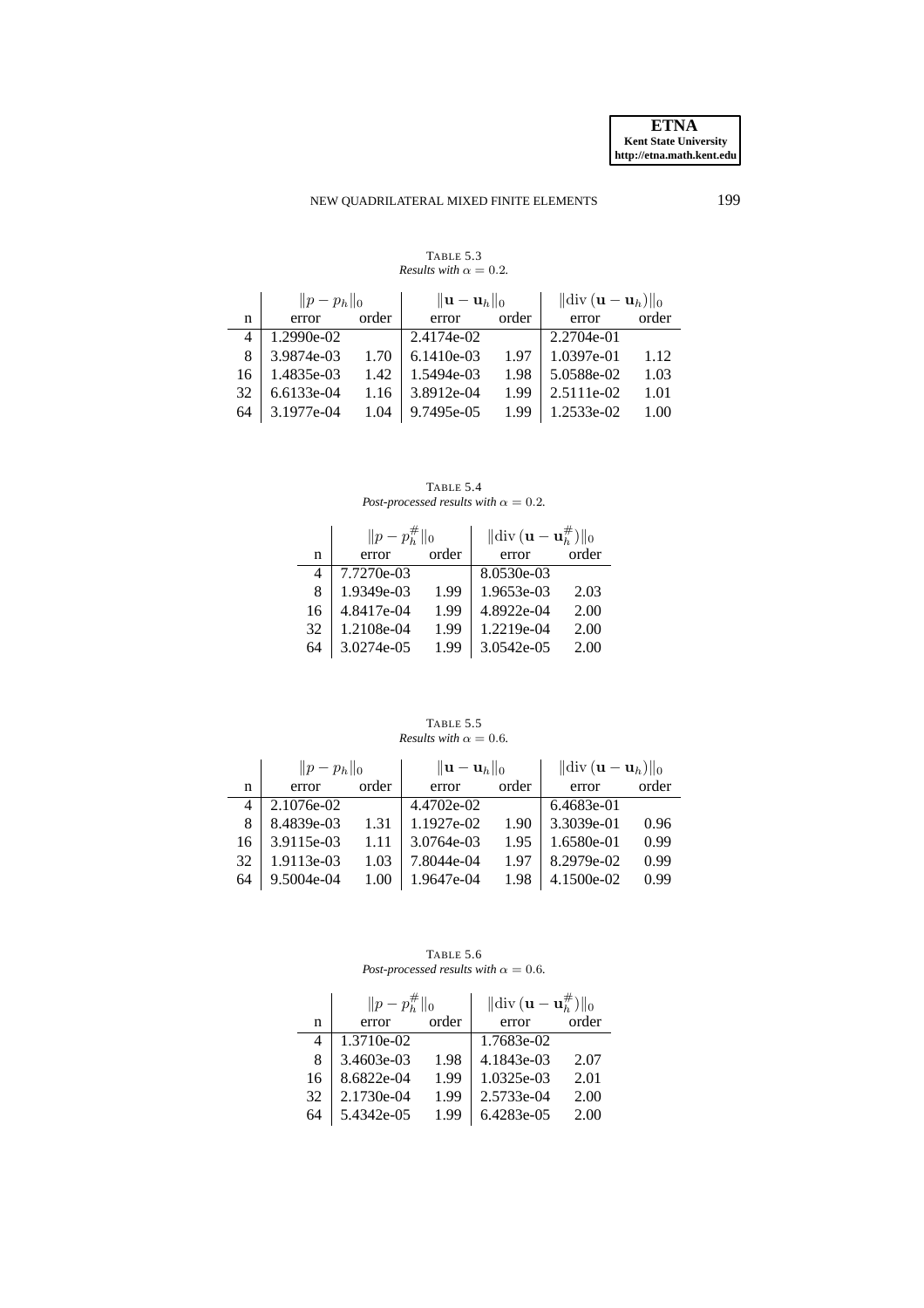# NEW QUADRILATERAL MIXED FINITE ELEMENTS 199

TABLE 5.3 *Results with*  $\alpha = 0.2$ *.* 

|    | $  p-p_h  _0$ |       | $\ \mathbf{u}-\mathbf{u}_h\ _0$ |       | $\ \text{div}\left(\mathbf{u}-\mathbf{u}_h\right)\ _0$ |       |
|----|---------------|-------|---------------------------------|-------|--------------------------------------------------------|-------|
| n  | error         | order | error                           | order | error                                                  | order |
| 4  | 1.2990e-02    |       | 2.4174e-02                      |       | 2.2704e-01                                             |       |
| 8  | 3.9874e-03    | 1.70  | 6.1410e-03                      | 1.97  | 1.0397e-01                                             | 1.12  |
| 16 | 1.4835e-03    | 1.42  | 1.5494e-03                      | 1.98  | 5.0588e-02                                             | 1.03  |
| 32 | 6.6133e-04    | 1.16  | 3.8912e-04                      | 1.99  | 2.5111e-02                                             | 1.01  |
| 64 | 3.1977e-04    | 1.04  | 9.7495e-05                      | 1.99  | 1.2533e-02                                             | 1.00  |

TABLE 5.4 *Post-processed results with*  $\alpha = 0.2$ *.* 

|    | $  p-p_h^{\#}  _0$ |       | $\ \text{div}\,(\mathbf{u}-\mathbf{u}_h^{\#})\ _0$ |       |  |
|----|--------------------|-------|----------------------------------------------------|-------|--|
| n  | error              | order | error                                              | order |  |
| 4  | 7.7270e-03         |       | 8.0530e-03                                         |       |  |
| 8  | 1.9349e-03         | 1.99  | 1.9653e-03                                         | 2.03  |  |
| 16 | 4.8417e-04         | 1.99  | 4.8922e-04                                         | 2.00  |  |
| 32 | 1.2108e-04         | 1.99  | 1.2219e-04                                         | 2.00  |  |
| 64 | 3.0274e-05         | 1.99  | 3.0542e-05                                         | 2.00  |  |

TABLE 5.5 *Results with*  $\alpha = 0.6$ *.* 

|    | $  p-p_h  _0$ |       | $\ \mathbf{u}-\mathbf{u}_h\ _0$ |       | $\ \text{div}\left(\mathbf{u}-\mathbf{u}_h\right)\ _0$ |       |
|----|---------------|-------|---------------------------------|-------|--------------------------------------------------------|-------|
| n  | error         | order | error                           | order | error                                                  | order |
| 4  | 2.1076e-02    |       | 4.4702e-02                      |       | 6.4683e-01                                             |       |
| 8  | 8.4839e-03    | 1.31  | 1.1927e-02                      | 1.90  | 3.3039e-01                                             | 0.96  |
| 16 | 3.9115e-03    | 1.11  | 3.0764e-03                      | 1.95  | 1.6580e-01                                             | 0.99  |
| 32 | 1.9113e-03    | 1.03  | 7.8044e-04                      | 1.97  | 8.2979e-02                                             | 0.99  |
| 64 | 9.5004e-04    | 1.00  | 1.9647e-04                      | 1.98  | 4.1500e-02                                             | 0.99  |

TABLE 5.6 *Post-processed results with*  $\alpha = 0.6$ *.* 

|    | $  p-p_h^{\#}  _0$ |       | $\ \text{div}(\mathbf{u}-\mathbf{u}_h^{\#})\ _0$ |       |
|----|--------------------|-------|--------------------------------------------------|-------|
| n  | error              | order | error                                            | order |
| 4  | 1.3710e-02         |       | 1.7683e-02                                       |       |
| 8  | 3.4603e-03         | 1.98  | 4.1843e-03                                       | 2.07  |
| 16 | 8.6822e-04         | 1.99  | 1.0325e-03                                       | 2.01  |
| 32 | 2.1730e-04         | 1.99  | 2.5733e-04                                       | 2.00  |
| 64 | 5.4342e-05         | 1.99  | 6.4283e-05                                       | 2.00  |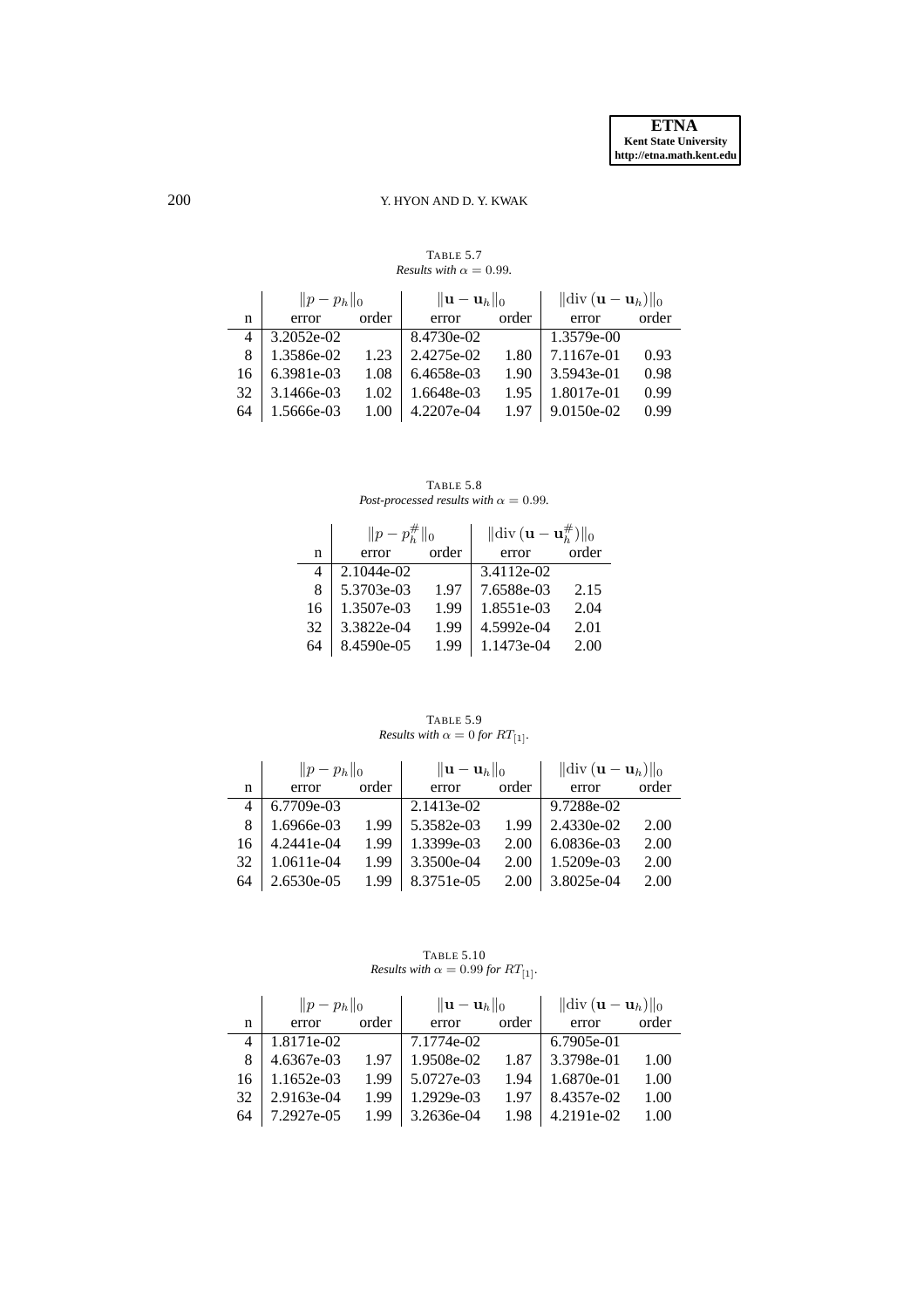# 200 Y. HYON AND D. Y. KWAK

|    | $  p-p_h  _0$ |       | $\ \mathbf{u}-\mathbf{u}_h\ _0$ |       | $\ \text{div}\left(\mathbf{u}-\mathbf{u}_h\right)\ _0$ |       |
|----|---------------|-------|---------------------------------|-------|--------------------------------------------------------|-------|
| n  | error         | order | error                           | order | error                                                  | order |
|    | 3.2052e-02    |       | 8.4730e-02                      |       | $1.3579e-00$                                           |       |
| 8  | 1.3586e-02    | 1.23  | 2.4275e-02                      | 1.80  | 7.1167e-01                                             | 0.93  |
| 16 | 6.3981e-03    | 1.08  | 6.4658e-03                      | 1.90  | 3.5943e-01                                             | 0.98  |
| 32 | 3.1466e-03    | 1.02  | 1.6648e-03                      | 1.95  | 1.8017e-01                                             | 0.99  |
| 64 | 1.5666e-03    | 1.00  | 4.2207e-04                      | 1.97  | 9.0150e-02                                             | 0.99  |

TABLE 5.7 *Results with*  $\alpha = 0.99$ *.* 

TABLE 5.8 *Post-processed results with*  $\alpha = 0.99$ *.* 

|    | $  p-p_h^{\#}  _0$ |       | $\ \text{div}(\mathbf{u}-\mathbf{u}_h^{\#})\ _0$ |       |  |
|----|--------------------|-------|--------------------------------------------------|-------|--|
| n  | error              | order | error                                            | order |  |
|    | 2.1044e-02         |       | 3.4112e-02                                       |       |  |
| 8  | 5.3703e-03         | 1.97  | 7.6588e-03                                       | 2.15  |  |
| 16 | 1.3507e-03         | 1.99  | 1.8551e-03                                       | 2.04  |  |
| 32 | 3.3822e-04         | 1.99  | 4.5992e-04                                       | 2.01  |  |
| 64 | 8.4590e-05         | 1.99  | 1.1473e-04                                       | 2.00  |  |

<span id="page-11-0"></span>**TABLE 5.9**<br>*Results with*  $\alpha = 0$  *for*  $RT_{[1]}$ *.* 

|    | $  p-p_h  _0$ |       | $\ \mathbf{u}-\mathbf{u}_h\ _0$ |       | $\ \text{div}\left(\mathbf{u}-\mathbf{u}_h\right)\ _0$ |       |
|----|---------------|-------|---------------------------------|-------|--------------------------------------------------------|-------|
| n  | error         | order | error                           | order | error                                                  | order |
|    | 6.7709e-03    |       | $2.1413e-02$                    |       | 9.7288e-02                                             |       |
| 8  | 1.6966e-03    | 1.99  | 5.3582e-03                      | 1.99  | 2.4330e-02                                             | 2.00  |
| 16 | 4.2441e-04    | 1.99  | 1.3399e-03                      | 2.00  | 6.0836e-03                                             | 2.00  |
| 32 | 1.0611e-04    | 1.99  | 3.3500e-04                      | 2.00  | 1.5209e-03                                             | 2.00  |
| 64 | 2.6530e-05    | 1.99  | 8.3751e-05                      | 2.00  | 3.8025e-04                                             | 2.00  |

<span id="page-11-1"></span>**TABLE 5.10**<br>*Results with*  $\alpha = 0.99$  *for*  $RT_{[1]}$ *.* 

|    | $  p-p_h  _0$ |       | $\ \mathbf{u}-\mathbf{u}_h\ _0$ |       | $\ \text{div}\left(\mathbf{u}-\mathbf{u}_h\right)\ _0$ |       |
|----|---------------|-------|---------------------------------|-------|--------------------------------------------------------|-------|
| n  | error         | order | error                           | order | error                                                  | order |
|    | 1.8171e-02    |       | 7.1774e-02                      |       | 6.7905e-01                                             |       |
| 8  | 4.6367e-03    | 1.97  | 1.9508e-02                      | 1.87  | 3.3798e-01                                             | 1.00  |
| 16 | 1.1652e-03    | 1.99  | 5.0727e-03                      | 1.94  | 1.6870e-01                                             | 1.00  |
| 32 | 2.9163e-04    | 1.99  | 1.2929e-03                      | 1.97  | 8.4357e-02                                             | 1.00  |
| 64 | 7.2927e-05    | 1.99  | 3.2636e-04                      | 1.98  | 4.2191e-02                                             | 1.00  |